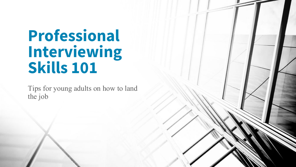# **Professional Interviewing Skills 101**

Tips for young adults on how to land the job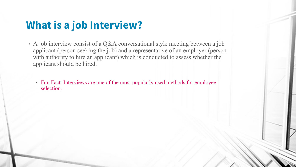### **What is a job Interview?**

- A job interview consist of a Q&A conversational style meeting between a job applicant (person seeking the job) and a representative of an employer (person with authority to hire an applicant) which is conducted to assess whether the applicant should be hired.
	- Fun Fact: Interviews are one of the most popularly used methods for employee selection.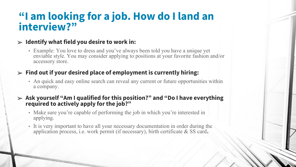### **"I am looking for a job. How do I land an interview?"**

#### ➢ **Identify what field you desire to work in:**

• Example: You love to dress and you've always been told you have a unique yet enviable style. You may consider applying to positions at your favorite fashion and/or accessory store.

#### ➢ **Find out if your desired place of employment is currently hiring:**

• An quick and easy online search can reveal any current or future opportunities within a company.

#### ➢ **Ask yourself "Am I qualified for this position?" and "Do I have everything required to actively apply for the job?"**

- Make sure you're capable of performing the job in which you're interested in applying.
- It is very important to have all your necessary documentation in order during the application process, i.e. work permit (if necessary), birth certificate & SS card**.**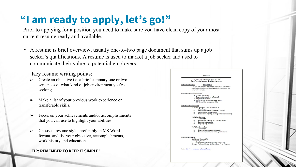## **"I am ready to apply, let's go!"**

Prior to applying for a position you need to make sure you have clean copy of your most current resume ready and available.

• A resume is brief overview, usually one-to-two page document that sums up a job seeker's qualifications. A resume is used to market a job seeker and used to communicate their value to potential employers.

Key resume writing points:

- ➢ Create an objective i.e. a brief summary one or two sentences of what kind of job environment you're seeking.
- Make a list of your previous work experience or transferable skills.
- ➢ Focus on your achievements and/or accomplishments that you can use to highlight your abilities.
- ➢ Choose a resume style, preferably in MS Word format, and list your objective, accomplishments, work history and education.

#### **TIP: REMEMBER TO KEEP IT SIMPLE!**

| 6722 South 22nd Street ~ Terre Haute, In. 47804<br>Home Phone (1001) 1001-10001 ~ Email jdoe@verison.net<br>OBJECTIVE<br>Housekeeper<br>I am very good at multi tasking in a fast paced setting. Very friendly<br>and efficient with others. An honest hard working team member you<br>can count on everyday.<br><i>OUALIFICATIONS</i><br>· Friendly with all guests.<br>- Deep cleaning expertise, eve for detail.<br>- Hospitality background.<br>- Service focused, physically able and strong.<br>· Self directed time management skills.<br>WORK HISTORY<br>2012-2014: Marán Inn Hotel, Indianapolis, In.<br>Housekeeper<br>$\circ$<br>Greet guast with a smile even when I am busy<br>$\circ$<br>Check rooms to verify vacancies<br>Clean rooms completely, cleaning, wiping and vacuuming<br>e<br>2010-2012: Dawy Inn<br>Housekeeper<br>e<br>Restock rooms, cleaning carts and supply closes<br>$\circ$<br>Take guat extra supplies<br>C Keep all facility areas clean<br>2009-2010: Upwwn Hotel<br>Housekeeper<br>e<br>Return rooms to occupant ready status<br>$\circ$<br>Linen changes, restocking supplies, trash removal<br>EDUCATION<br>High School Diploma, 2008 |
|--------------------------------------------------------------------------------------------------------------------------------------------------------------------------------------------------------------------------------------------------------------------------------------------------------------------------------------------------------------------------------------------------------------------------------------------------------------------------------------------------------------------------------------------------------------------------------------------------------------------------------------------------------------------------------------------------------------------------------------------------------------------------------------------------------------------------------------------------------------------------------------------------------------------------------------------------------------------------------------------------------------------------------------------------------------------------------------------------------------------------------------------------------------------------------|
|                                                                                                                                                                                                                                                                                                                                                                                                                                                                                                                                                                                                                                                                                                                                                                                                                                                                                                                                                                                                                                                                                                                                                                                |
|                                                                                                                                                                                                                                                                                                                                                                                                                                                                                                                                                                                                                                                                                                                                                                                                                                                                                                                                                                                                                                                                                                                                                                                |
|                                                                                                                                                                                                                                                                                                                                                                                                                                                                                                                                                                                                                                                                                                                                                                                                                                                                                                                                                                                                                                                                                                                                                                                |
|                                                                                                                                                                                                                                                                                                                                                                                                                                                                                                                                                                                                                                                                                                                                                                                                                                                                                                                                                                                                                                                                                                                                                                                |
|                                                                                                                                                                                                                                                                                                                                                                                                                                                                                                                                                                                                                                                                                                                                                                                                                                                                                                                                                                                                                                                                                                                                                                                |
|                                                                                                                                                                                                                                                                                                                                                                                                                                                                                                                                                                                                                                                                                                                                                                                                                                                                                                                                                                                                                                                                                                                                                                                |
|                                                                                                                                                                                                                                                                                                                                                                                                                                                                                                                                                                                                                                                                                                                                                                                                                                                                                                                                                                                                                                                                                                                                                                                |
|                                                                                                                                                                                                                                                                                                                                                                                                                                                                                                                                                                                                                                                                                                                                                                                                                                                                                                                                                                                                                                                                                                                                                                                |
|                                                                                                                                                                                                                                                                                                                                                                                                                                                                                                                                                                                                                                                                                                                                                                                                                                                                                                                                                                                                                                                                                                                                                                                |
|                                                                                                                                                                                                                                                                                                                                                                                                                                                                                                                                                                                                                                                                                                                                                                                                                                                                                                                                                                                                                                                                                                                                                                                |
|                                                                                                                                                                                                                                                                                                                                                                                                                                                                                                                                                                                                                                                                                                                                                                                                                                                                                                                                                                                                                                                                                                                                                                                |
|                                                                                                                                                                                                                                                                                                                                                                                                                                                                                                                                                                                                                                                                                                                                                                                                                                                                                                                                                                                                                                                                                                                                                                                |
|                                                                                                                                                                                                                                                                                                                                                                                                                                                                                                                                                                                                                                                                                                                                                                                                                                                                                                                                                                                                                                                                                                                                                                                |
|                                                                                                                                                                                                                                                                                                                                                                                                                                                                                                                                                                                                                                                                                                                                                                                                                                                                                                                                                                                                                                                                                                                                                                                |
|                                                                                                                                                                                                                                                                                                                                                                                                                                                                                                                                                                                                                                                                                                                                                                                                                                                                                                                                                                                                                                                                                                                                                                                |
|                                                                                                                                                                                                                                                                                                                                                                                                                                                                                                                                                                                                                                                                                                                                                                                                                                                                                                                                                                                                                                                                                                                                                                                |
|                                                                                                                                                                                                                                                                                                                                                                                                                                                                                                                                                                                                                                                                                                                                                                                                                                                                                                                                                                                                                                                                                                                                                                                |
|                                                                                                                                                                                                                                                                                                                                                                                                                                                                                                                                                                                                                                                                                                                                                                                                                                                                                                                                                                                                                                                                                                                                                                                |
|                                                                                                                                                                                                                                                                                                                                                                                                                                                                                                                                                                                                                                                                                                                                                                                                                                                                                                                                                                                                                                                                                                                                                                                |
|                                                                                                                                                                                                                                                                                                                                                                                                                                                                                                                                                                                                                                                                                                                                                                                                                                                                                                                                                                                                                                                                                                                                                                                |
|                                                                                                                                                                                                                                                                                                                                                                                                                                                                                                                                                                                                                                                                                                                                                                                                                                                                                                                                                                                                                                                                                                                                                                                |
|                                                                                                                                                                                                                                                                                                                                                                                                                                                                                                                                                                                                                                                                                                                                                                                                                                                                                                                                                                                                                                                                                                                                                                                |
|                                                                                                                                                                                                                                                                                                                                                                                                                                                                                                                                                                                                                                                                                                                                                                                                                                                                                                                                                                                                                                                                                                                                                                                |
|                                                                                                                                                                                                                                                                                                                                                                                                                                                                                                                                                                                                                                                                                                                                                                                                                                                                                                                                                                                                                                                                                                                                                                                |
|                                                                                                                                                                                                                                                                                                                                                                                                                                                                                                                                                                                                                                                                                                                                                                                                                                                                                                                                                                                                                                                                                                                                                                                |
|                                                                                                                                                                                                                                                                                                                                                                                                                                                                                                                                                                                                                                                                                                                                                                                                                                                                                                                                                                                                                                                                                                                                                                                |
|                                                                                                                                                                                                                                                                                                                                                                                                                                                                                                                                                                                                                                                                                                                                                                                                                                                                                                                                                                                                                                                                                                                                                                                |
|                                                                                                                                                                                                                                                                                                                                                                                                                                                                                                                                                                                                                                                                                                                                                                                                                                                                                                                                                                                                                                                                                                                                                                                |
| Indunatolis, Indiana                                                                                                                                                                                                                                                                                                                                                                                                                                                                                                                                                                                                                                                                                                                                                                                                                                                                                                                                                                                                                                                                                                                                                           |
| IVY Tech, Indianapolis, In -- Special courses and seminars.                                                                                                                                                                                                                                                                                                                                                                                                                                                                                                                                                                                                                                                                                                                                                                                                                                                                                                                                                                                                                                                                                                                    |
| Computer Proficient: Windows XP, Word, Excel, Power Point, ect                                                                                                                                                                                                                                                                                                                                                                                                                                                                                                                                                                                                                                                                                                                                                                                                                                                                                                                                                                                                                                                                                                                 |
| Go to: http://www.resumes-cover-letten-jobs.com                                                                                                                                                                                                                                                                                                                                                                                                                                                                                                                                                                                                                                                                                                                                                                                                                                                                                                                                                                                                                                                                                                                                |
|                                                                                                                                                                                                                                                                                                                                                                                                                                                                                                                                                                                                                                                                                                                                                                                                                                                                                                                                                                                                                                                                                                                                                                                |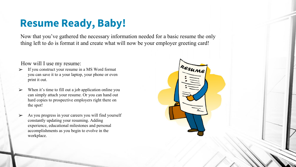## **Resume Ready, Baby!**

Now that you've gathered the necessary information needed for a basic resume the only thing left to do is format it and create what will now be your employer greeting card!

#### How will I use my resume:

- If you construct your resume in a MS Word format you can save it to a your laptop, your phone or even print it out.
- When it's time to fill out a job application online you can simply attach your resume. Or you can hand out hard copies to prospective employers right there on the spot!
- As you progress in your careers you will find yourself constantly updating your resuming. Adding experience, educational milestones and personal accomplishments as you begin to evolve in the workplace.

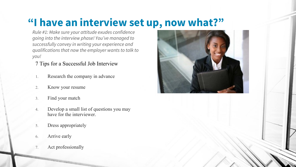## **"I have an interview set up, now what?"**

*Rule #1: Make sure your attitude exudes confidence going into the interview phase! You've managed to successfully convey in writing your experience and qualifications that now the employer wants to talk to you!*

7 Tips for a Successful Job Interview

- 1. Research the company in advance
- 2. Know your resume
- 3. Find your match
- 4. Develop a small list of questions you may have for the interviewer.
- 5. Dress appropriately
- 6. Arrive early
- Act professionally